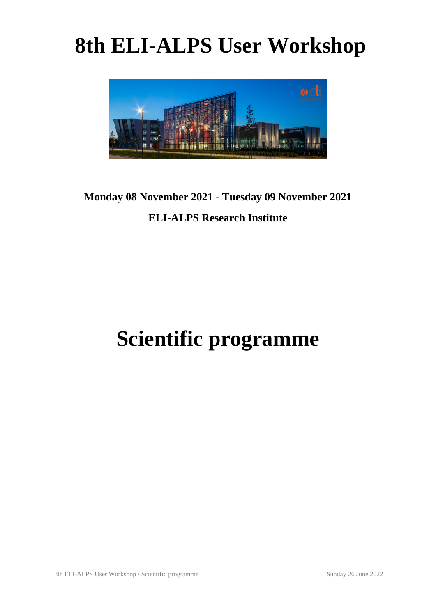# **8th ELI-ALPS User Workshop**



### **Monday 08 November 2021 - Tuesday 09 November 2021**

### **ELI-ALPS Research Institute**

## **Scientific programme**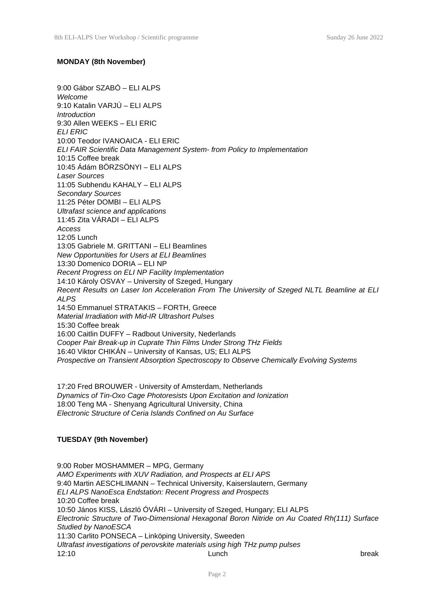#### **MONDAY (8th November)**

9:00 Gábor SZABÓ – ELI ALPS *Welcome* 9:10 Katalin VARJÚ – ELI ALPS *Introduction* 9:30 Allen WEEKS – ELI ERIC *ELI ERIC* 10:00 Teodor IVANOAICA - ELI ERIC *ELI FAIR Scientific Data Management System- from Policy to Implementation* 10:15 Coffee break 10:45 Ádám BÖRZSÖNYI – ELI ALPS *Laser Sources* 11:05 Subhendu KAHALY – ELI ALPS *Secondary Sources* 11:25 Péter DOMBI – ELI ALPS *Ultrafast science and applications* 11:45 Zita VÁRADI – ELI ALPS *Access* 12:05 Lunch 13:05 Gabriele M. GRITTANI – ELI Beamlines *New Opportunities for Users at ELI Beamlines* 13:30 Domenico DORIA – ELI NP *Recent Progress on ELI NP Facility Implementation* 14:10 Károly OSVAY – University of Szeged, Hungary *Recent Results on Laser Ion Acceleration From The University of Szeged NLTL Beamline at ELI ALPS* 14:50 Emmanuel STRATAKIS – FORTH, Greece *Material Irradiation with Mid-IR Ultrashort Pulses* 15:30 Coffee break 16:00 Caitlin DUFFY – Radbout University, Nederlands *Cooper Pair Break-up in Cuprate Thin Films Under Strong THz Fields* 16:40 Viktor CHIKÁN – University of Kansas, US; ELI ALPS *Prospective on Transient Absorption Spectroscopy to Observe Chemically Evolving Systems*

17:20 Fred BROUWER - University of Amsterdam, Netherlands *Dynamics of Tin-Oxo Cage Photoresists Upon Excitation and Ionization* 18:00 Teng MA - Shenyang Agricultural University, China *Electronic Structure of Ceria Islands Confined on Au Surface*

#### **TUESDAY (9th November)**

9:00 Rober MOSHAMMER – MPG, Germany *AMO Experiments with XUV Radiation, and Prospects at ELI APS* 9:40 Martin AESCHLIMANN – Technical University, Kaiserslautern, Germany *ELI ALPS NanoEsca Endstation: Recent Progress and Prospects* 10:20 Coffee break 10:50 János KISS, László ÓVÁRI – University of Szeged, Hungary; ELI ALPS *Electronic Structure of Two-Dimensional Hexagonal Boron Nitride on Au Coated Rh(111) Surface Studied by NanoESCA* 11:30 Carlito PONSECA – Linköping University, Sweeden *Ultrafast investigations of perovskite materials using high THz pump pulses* 12:10 Lunch break